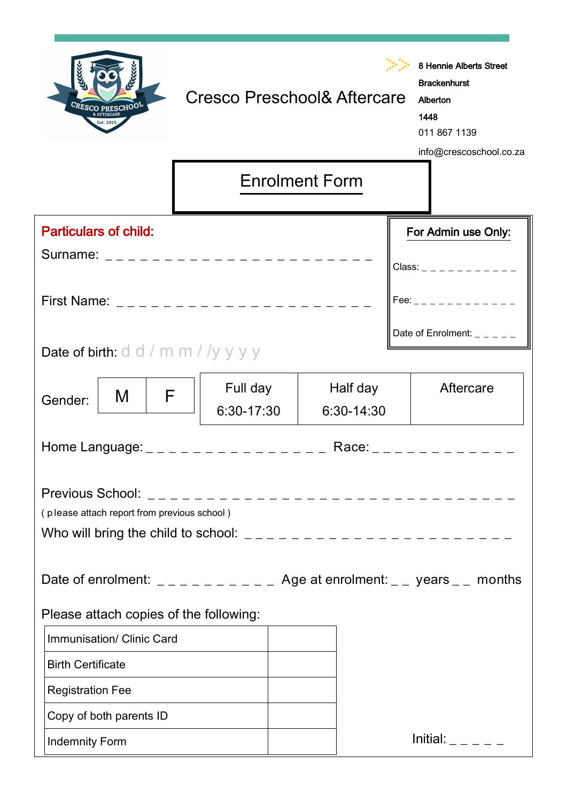| CRESCO PRESCHOOL<br>Est. 2015                                                                                                                                                                                                  | <b>Cresco Preschool&amp; Aftercare</b> |                       |                        | 8 Hennie Alberts Street<br><b>Brackenhurst</b><br>Alberton<br>1448<br>011 867 1139<br>info@crescoschool.co.za |
|--------------------------------------------------------------------------------------------------------------------------------------------------------------------------------------------------------------------------------|----------------------------------------|-----------------------|------------------------|---------------------------------------------------------------------------------------------------------------|
|                                                                                                                                                                                                                                |                                        | <b>Enrolment Form</b> |                        |                                                                                                               |
| <b>Particulars of child:</b>                                                                                                                                                                                                   |                                        |                       |                        | For Admin use Only:<br>Class: _ _ _ _ _ _ _ _ _ _ _                                                           |
|                                                                                                                                                                                                                                |                                        |                       |                        |                                                                                                               |
| <b>Date of birth:</b> $d$ $d$ / $m$ $m$ / $/y$ $y$ $y$ $y$                                                                                                                                                                     |                                        |                       |                        | Date of Enrolment: $- - -$                                                                                    |
| F<br>M<br>Gender:                                                                                                                                                                                                              | Full day<br>6:30-17:30                 |                       | Half day<br>6:30-14:30 | Aftercare                                                                                                     |
|                                                                                                                                                                                                                                |                                        |                       |                        |                                                                                                               |
| (please attach report from previous school)<br>Who will bring the child to school: $\frac{1}{2} - \frac{1}{2} - \frac{1}{2} - \frac{1}{2} - \frac{1}{2} - \frac{1}{2} - \frac{1}{2} - \frac{1}{2} - \frac{1}{2} - \frac{1}{2}$ |                                        |                       |                        |                                                                                                               |
| Date of enrolment: $\angle$ _ _ _ _ _ _ _ _ _ Age at enrolment: _ _ years _ _ months                                                                                                                                           |                                        |                       |                        |                                                                                                               |
| Please attach copies of the following:                                                                                                                                                                                         |                                        |                       |                        |                                                                                                               |
| Immunisation/ Clinic Card                                                                                                                                                                                                      |                                        |                       |                        |                                                                                                               |
| <b>Birth Certificate</b>                                                                                                                                                                                                       |                                        |                       |                        |                                                                                                               |
| <b>Registration Fee</b>                                                                                                                                                                                                        |                                        |                       |                        |                                                                                                               |
| Copy of both parents ID                                                                                                                                                                                                        |                                        |                       |                        |                                                                                                               |
| <b>Indemnity Form</b>                                                                                                                                                                                                          |                                        |                       |                        | Initial: $   -$                                                                                               |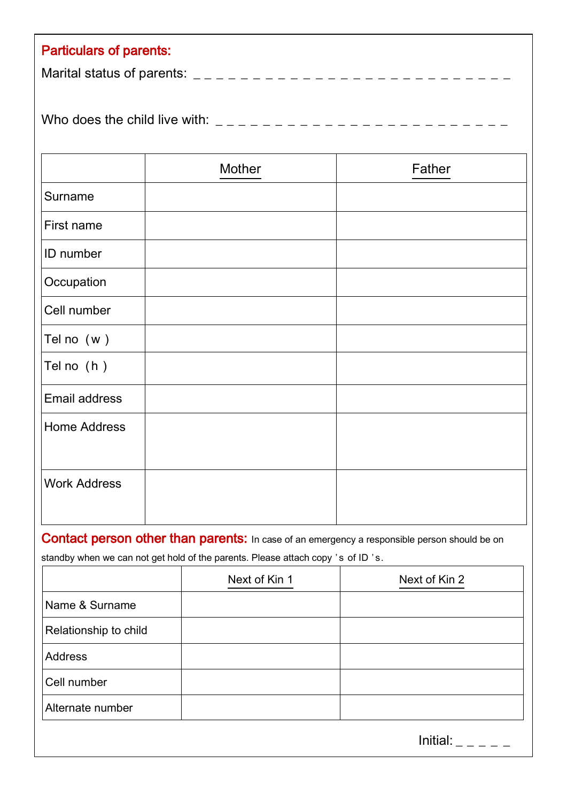| <b>Particulars of parents:</b> |
|--------------------------------|
|                                |
|                                |
|                                |
|                                |

|                     | Mother | Father |
|---------------------|--------|--------|
| Surname             |        |        |
| First name          |        |        |
| ID number           |        |        |
| Occupation          |        |        |
| Cell number         |        |        |
| Tel no $(w)$        |        |        |
| Tel no (h)          |        |        |
| Email address       |        |        |
| <b>Home Address</b> |        |        |
| <b>Work Address</b> |        |        |

Contact person other than parents: In case of an emergency a responsible person should be on

standby when we can not get hold of the parents. Please attach copy 's of ID 's.

|                       | Next of Kin 1 | Next of Kin 2 |
|-----------------------|---------------|---------------|
| Name & Surname        |               |               |
| Relationship to child |               |               |
| Address               |               |               |
| Cell number           |               |               |
| Alternate number      |               |               |
|                       |               |               |

 $Initial:$  \_ \_ \_ \_ \_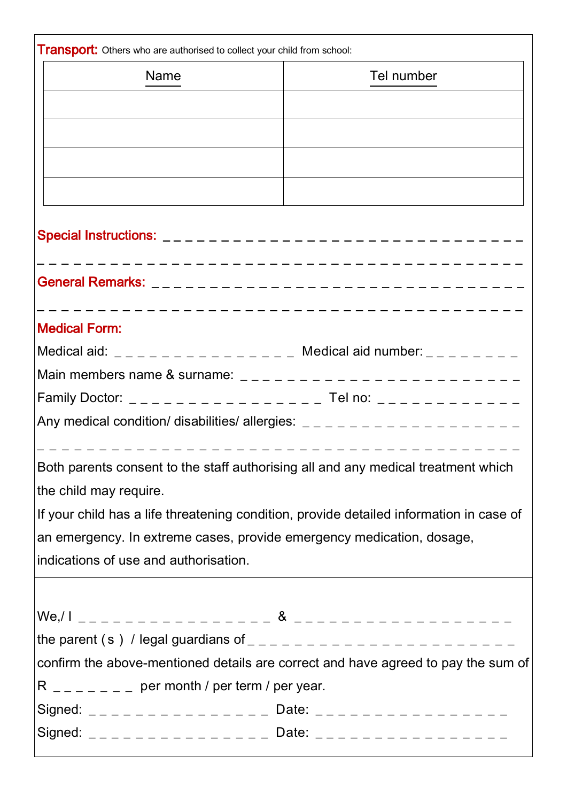| <b>Transport:</b> Others who are authorised to collect your child from school:                                                                                                                                                                                                                                                                                               |            |  |  |  |
|------------------------------------------------------------------------------------------------------------------------------------------------------------------------------------------------------------------------------------------------------------------------------------------------------------------------------------------------------------------------------|------------|--|--|--|
| <b>Name</b>                                                                                                                                                                                                                                                                                                                                                                  | Tel number |  |  |  |
|                                                                                                                                                                                                                                                                                                                                                                              |            |  |  |  |
|                                                                                                                                                                                                                                                                                                                                                                              |            |  |  |  |
|                                                                                                                                                                                                                                                                                                                                                                              |            |  |  |  |
|                                                                                                                                                                                                                                                                                                                                                                              |            |  |  |  |
|                                                                                                                                                                                                                                                                                                                                                                              |            |  |  |  |
|                                                                                                                                                                                                                                                                                                                                                                              |            |  |  |  |
|                                                                                                                                                                                                                                                                                                                                                                              |            |  |  |  |
| <b>Medical Form:</b>                                                                                                                                                                                                                                                                                                                                                         |            |  |  |  |
| Medical aid: _________________ Medical aid number: _______                                                                                                                                                                                                                                                                                                                   |            |  |  |  |
| Main members name & surname: $\frac{1}{2} - \frac{1}{2} - \frac{1}{2} - \frac{1}{2} - \frac{1}{2} - \frac{1}{2} - \frac{1}{2} - \frac{1}{2} - \frac{1}{2} - \frac{1}{2} - \frac{1}{2} - \frac{1}{2} - \frac{1}{2} - \frac{1}{2} - \frac{1}{2} - \frac{1}{2} - \frac{1}{2} - \frac{1}{2} - \frac{1}{2} - \frac{1}{2} - \frac{1}{2} - \frac{1}{2} - \frac{1}{2} - \frac{1}{2}$ |            |  |  |  |
|                                                                                                                                                                                                                                                                                                                                                                              |            |  |  |  |
| Any medical condition/ disabilities/ allergies: $-$ - - - - - - - - - - - - - - - - -                                                                                                                                                                                                                                                                                        |            |  |  |  |
| _________________________________<br>Both parents consent to the staff authorising all and any medical treatment which<br>the child may require.                                                                                                                                                                                                                             |            |  |  |  |
| If your child has a life threatening condition, provide detailed information in case of                                                                                                                                                                                                                                                                                      |            |  |  |  |
| an emergency. In extreme cases, provide emergency medication, dosage,                                                                                                                                                                                                                                                                                                        |            |  |  |  |
| indications of use and authorisation.                                                                                                                                                                                                                                                                                                                                        |            |  |  |  |
|                                                                                                                                                                                                                                                                                                                                                                              |            |  |  |  |
|                                                                                                                                                                                                                                                                                                                                                                              |            |  |  |  |
|                                                                                                                                                                                                                                                                                                                                                                              |            |  |  |  |
| confirm the above-mentioned details are correct and have agreed to pay the sum of                                                                                                                                                                                                                                                                                            |            |  |  |  |
| R $_{- - - - - -}$ per month / per term / per year.                                                                                                                                                                                                                                                                                                                          |            |  |  |  |
|                                                                                                                                                                                                                                                                                                                                                                              |            |  |  |  |
| Signed: _______________ Date: _______________________                                                                                                                                                                                                                                                                                                                        |            |  |  |  |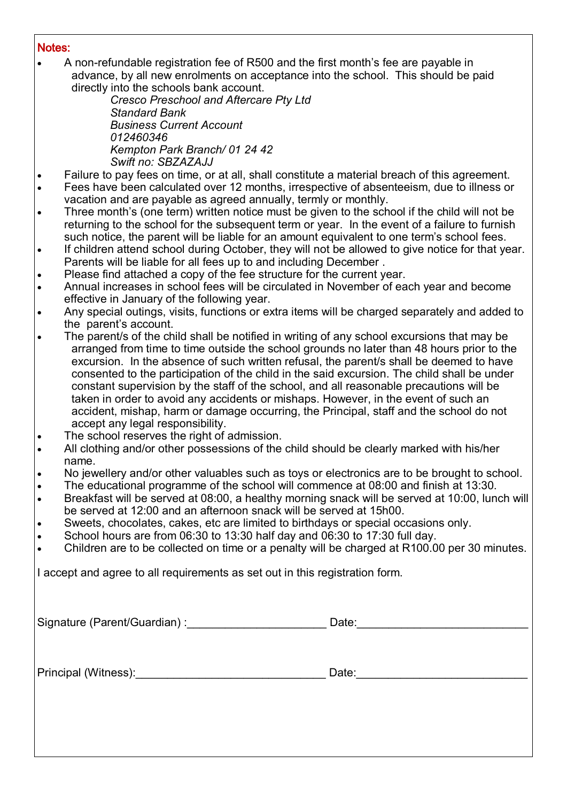## Notes:

 A non-refundable registration fee of R500 and the first month's fee are payable in advance, by all new enrolments on acceptance into the school. This should be paid directly into the schools bank account.

*Cresco Preschool and Aftercare Pty Ltd Standard Bank Business Current Account 012460346 Kempton Park Branch/ 01 24 42 Swift no: SBZAZAJJ*

- Failure to pay fees on time, or at all, shall constitute a material breach of this agreement.
- Fees have been calculated over 12 months, irrespective of absenteeism, due to illness or vacation and are payable as agreed annually, termly or monthly.
- Three month's (one term) written notice must be given to the school if the child will not be returning to the school for the subsequent term or year. In the event of a failure to furnish such notice, the parent will be liable for an amount equivalent to one term's school fees.
- If children attend school during October, they will not be allowed to give notice for that year. Parents will be liable for all fees up to and including December .
- Please find attached a copy of the fee structure for the current year.
- Annual increases in school fees will be circulated in November of each year and become effective in January of the following year.
- Any special outings, visits, functions or extra items will be charged separately and added to the parent's account.
- The parent/s of the child shall be notified in writing of any school excursions that may be arranged from time to time outside the school grounds no later than 48 hours prior to the excursion. In the absence of such written refusal, the parent/s shall be deemed to have consented to the participation of the child in the said excursion. The child shall be under constant supervision by the staff of the school, and all reasonable precautions will be taken in order to avoid any accidents or mishaps. However, in the event of such an accident, mishap, harm or damage occurring, the Principal, staff and the school do not accept any legal responsibility.
- The school reserves the right of admission.
- All clothing and/or other possessions of the child should be clearly marked with his/her name.
- No jewellery and/or other valuables such as toys or electronics are to be brought to school.
- The educational programme of the school will commence at 08:00 and finish at 13:30.
- Breakfast will be served at 08:00, a healthy morning snack will be served at 10:00, lunch will be served at 12:00 and an afternoon snack will be served at 15h00.
- Sweets, chocolates, cakes, etc are limited to birthdays or special occasions only.
- School hours are from 06:30 to 13:30 half day and 06:30 to 17:30 full day.
- Children are to be collected on time or a penalty will be charged at R100.00 per 30 minutes.

I accept and agree to all requirements as set out in this registration form.

Signature (Parent/Guardian) :\_\_\_\_\_\_\_\_\_\_\_\_\_\_\_\_\_\_\_\_\_\_ Date:\_\_\_\_\_\_\_\_\_\_\_\_\_\_\_\_\_\_\_\_\_\_\_\_\_\_\_

Principal (Witness): etc. and the state of the Date: contract of the Date: